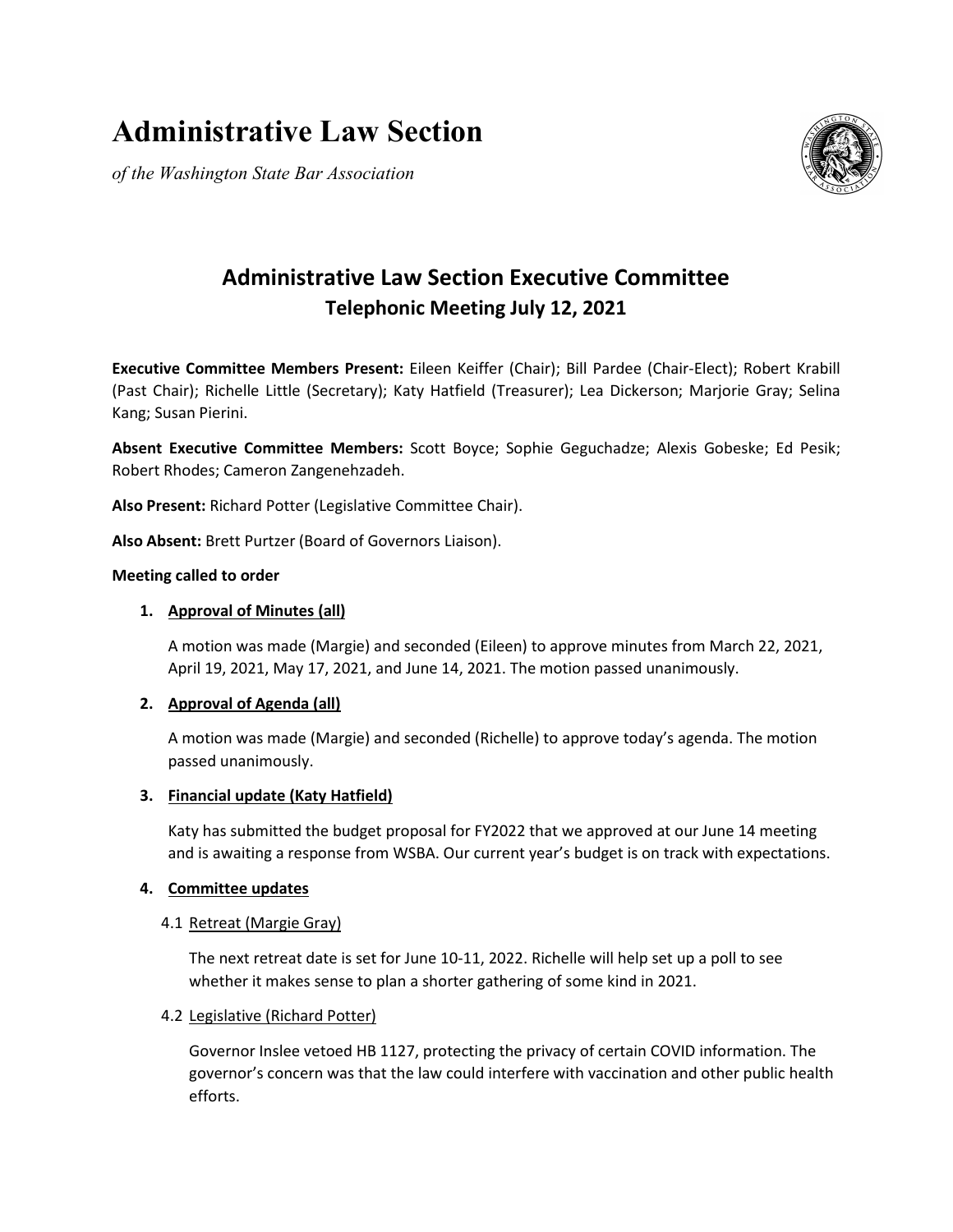# **Administrative Law Section**

*of the Washington State Bar Association*



# **Administrative Law Section Executive Committee Telephonic Meeting July 12, 2021**

**Executive Committee Members Present:** Eileen Keiffer (Chair); Bill Pardee (Chair-Elect); Robert Krabill (Past Chair); Richelle Little (Secretary); Katy Hatfield (Treasurer); Lea Dickerson; Marjorie Gray; Selina Kang; Susan Pierini.

**Absent Executive Committee Members:** Scott Boyce; Sophie Geguchadze; Alexis Gobeske; Ed Pesik; Robert Rhodes; Cameron Zangenehzadeh.

**Also Present:** Richard Potter (Legislative Committee Chair).

**Also Absent:** Brett Purtzer (Board of Governors Liaison).

# **Meeting called to order**

# **1. Approval of Minutes (all)**

A motion was made (Margie) and seconded (Eileen) to approve minutes from March 22, 2021, April 19, 2021, May 17, 2021, and June 14, 2021. The motion passed unanimously.

# **2. Approval of Agenda (all)**

A motion was made (Margie) and seconded (Richelle) to approve today's agenda. The motion passed unanimously.

# **3. Financial update (Katy Hatfield)**

Katy has submitted the budget proposal for FY2022 that we approved at our June 14 meeting and is awaiting a response from WSBA. Our current year's budget is on track with expectations.

# **4. Committee updates**

# 4.1 Retreat (Margie Gray)

The next retreat date is set for June 10-11, 2022. Richelle will help set up a poll to see whether it makes sense to plan a shorter gathering of some kind in 2021.

# 4.2 Legislative (Richard Potter)

Governor Inslee vetoed HB 1127, protecting the privacy of certain COVID information. The governor's concern was that the law could interfere with vaccination and other public health efforts.